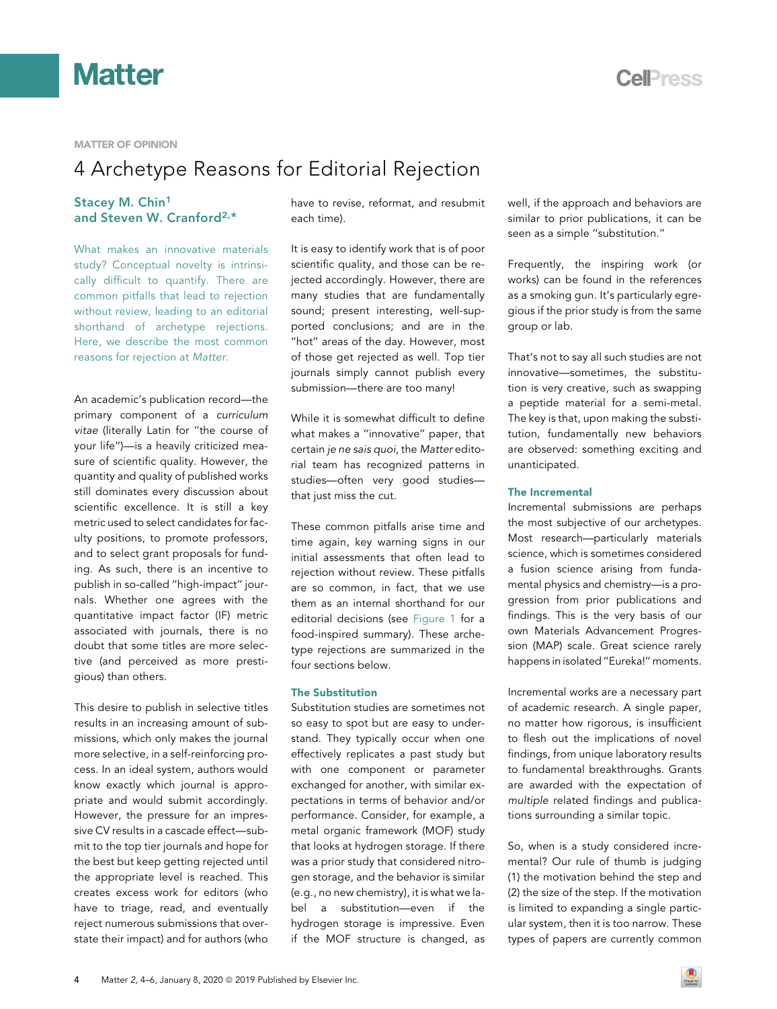

MATTER OF OPINION

# 4 Archetype Reasons for Editorial Rejection

## Stacey M. Chin[1](#page-2-0) and Steven W. Cranfor[d2,](#page-2-1)[\\*](#page-2-2)

What makes an innovative materials study? Conceptual novelty is intrinsically difficult to quantify. There are common pitfalls that lead to rejection without review, leading to an editorial shorthand of archetype rejections. Here, we describe the most common reasons for rejection at Matter.

An academic's publication record—the primary component of a curriculum vitae (literally Latin for ''the course of your life'')—is a heavily criticized measure of scientific quality. However, the quantity and quality of published works still dominates every discussion about scientific excellence. It is still a key metric used to select candidates for faculty positions, to promote professors, and to select grant proposals for funding. As such, there is an incentive to publish in so-called ''high-impact'' journals. Whether one agrees with the quantitative impact factor (IF) metric associated with journals, there is no doubt that some titles are more selective (and perceived as more prestigious) than others.

This desire to publish in selective titles results in an increasing amount of submissions, which only makes the journal more selective, in a self-reinforcing process. In an ideal system, authors would know exactly which journal is appropriate and would submit accordingly. However, the pressure for an impressive CV results in a cascade effect—submit to the top tier journals and hope for the best but keep getting rejected until the appropriate level is reached. This creates excess work for editors (who have to triage, read, and eventually reject numerous submissions that overstate their impact) and for authors (who have to revise, reformat, and resubmit each time).

It is easy to identify work that is of poor scientific quality, and those can be rejected accordingly. However, there are many studies that are fundamentally sound; present interesting, well-supported conclusions; and are in the "hot" areas of the day. However, most of those get rejected as well. Top tier journals simply cannot publish every submission—there are too many!

While it is somewhat difficult to define what makes a ''innovative'' paper, that certain je ne sais quoi, the Matter editorial team has recognized patterns in studies—often very good studies that just miss the cut.

These common pitfalls arise time and time again, key warning signs in our initial assessments that often lead to rejection without review. These pitfalls are so common, in fact, that we use them as an internal shorthand for our editorial decisions (see [Figure 1](#page-1-0) for a food-inspired summary). These archetype rejections are summarized in the four sections below.

### The Substitution

Substitution studies are sometimes not so easy to spot but are easy to understand. They typically occur when one effectively replicates a past study but with one component or parameter exchanged for another, with similar expectations in terms of behavior and/or performance. Consider, for example, a metal organic framework (MOF) study that looks at hydrogen storage. If there was a prior study that considered nitrogen storage, and the behavior is similar (e.g., no new chemistry), it is what we label a substitution—even if the hydrogen storage is impressive. Even if the MOF structure is changed, as

well, if the approach and behaviors are similar to prior publications, it can be seen as a simple ''substitution.''

Frequently, the inspiring work (or works) can be found in the references as a smoking gun. It's particularly egregious if the prior study is from the same group or lab.

That's not to say all such studies are not innovative—sometimes, the substitution is very creative, such as swapping a peptide material for a semi-metal. The key is that, upon making the substitution, fundamentally new behaviors are observed: something exciting and unanticipated.

### The Incremental

Incremental submissions are perhaps the most subjective of our archetypes. Most research—particularly materials science, which is sometimes considered a fusion science arising from fundamental physics and chemistry—is a progression from prior publications and findings. This is the very basis of our own Materials Advancement Progression (MAP) scale. Great science rarely happens in isolated ''Eureka!'' moments.

Incremental works are a necessary part of academic research. A single paper, no matter how rigorous, is insufficient to flesh out the implications of novel findings, from unique laboratory results to fundamental breakthroughs. Grants are awarded with the expectation of multiple related findings and publications surrounding a similar topic.

So, when is a study considered incremental? Our rule of thumb is judging (1) the motivation behind the step and (2) the size of the step. If the motivation is limited to expanding a single particular system, then it is too narrow. These types of papers are currently common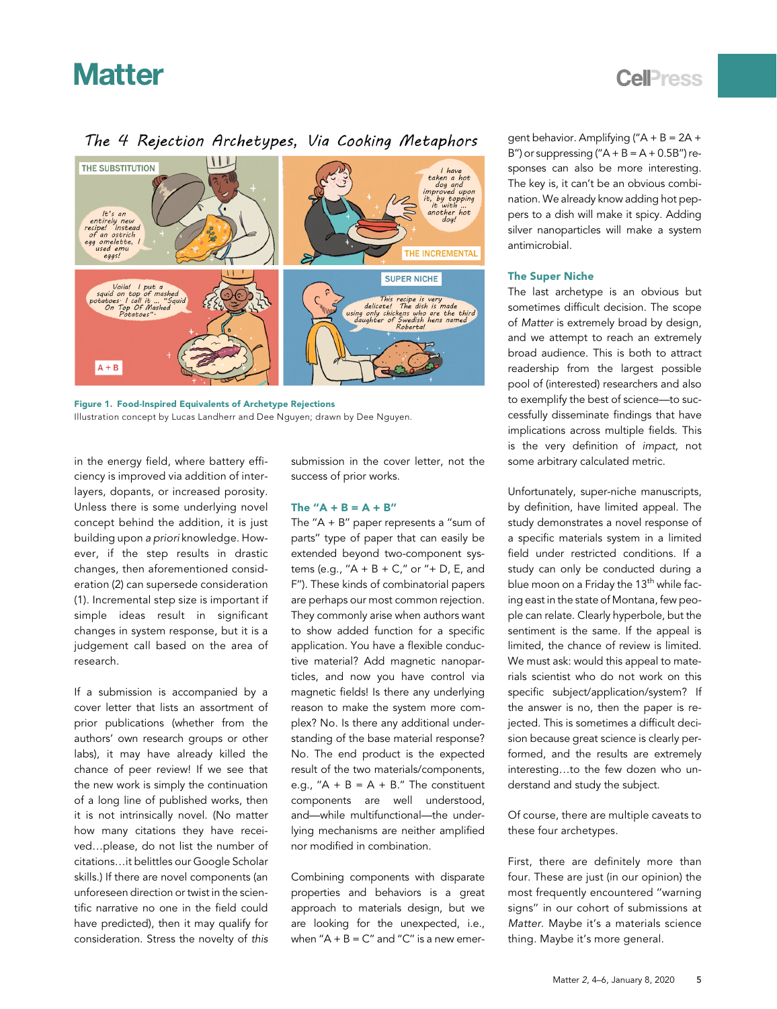# **Matter**

## **Cell**<sub>ress</sub>

## <span id="page-1-0"></span>The 4 Rejection Archetypes, Via Cooking Metaphors



Figure 1. Food-Inspired Equivalents of Archetype Rejections Illustration concept by Lucas Landherr and Dee Nguyen; drawn by Dee Nguyen.

in the energy field, where battery efficiency is improved via addition of interlayers, dopants, or increased porosity. Unless there is some underlying novel concept behind the addition, it is just building upon a priori knowledge. However, if the step results in drastic changes, then aforementioned consideration (2) can supersede consideration (1). Incremental step size is important if simple ideas result in significant changes in system response, but it is a judgement call based on the area of research.

If a submission is accompanied by a cover letter that lists an assortment of prior publications (whether from the authors' own research groups or other labs), it may have already killed the chance of peer review! If we see that the new work is simply the continuation of a long line of published works, then it is not intrinsically novel. (No matter how many citations they have received...please, do not list the number of citations...it belittles our Google Scholar skills.) If there are novel components (an unforeseen direction or twist in the scientific narrative no one in the field could have predicted), then it may qualify for consideration. Stress the novelty of this

submission in the cover letter, not the success of prior works.

#### The  $''A + B = A + B''$

The " $A + B$ " paper represents a "sum of parts'' type of paper that can easily be extended beyond two-component systems (e.g., "A + B + C," or "+ D, E, and F''). These kinds of combinatorial papers are perhaps our most common rejection. They commonly arise when authors want to show added function for a specific application. You have a flexible conductive material? Add magnetic nanoparticles, and now you have control via magnetic fields! Is there any underlying reason to make the system more complex? No. Is there any additional understanding of the base material response? No. The end product is the expected result of the two materials/components, e.g., " $A + B = A + B$ ." The constituent components are well understood, and—while multifunctional—the underlying mechanisms are neither amplified nor modified in combination.

Combining components with disparate properties and behaviors is a great approach to materials design, but we are looking for the unexpected, i.e., when  $'A + B = C''$  and "C" is a new emergent behavior. Amplifying (" $A + B = 2A +$ B") or suppressing (" $A + B = A + 0.5B$ ") responses can also be more interesting. The key is, it can't be an obvious combination. We already know adding hot peppers to a dish will make it spicy. Adding silver nanoparticles will make a system antimicrobial.

#### The Super Niche

The last archetype is an obvious but sometimes difficult decision. The scope of Matter is extremely broad by design, and we attempt to reach an extremely broad audience. This is both to attract readership from the largest possible pool of (interested) researchers and also to exemplify the best of science—to successfully disseminate findings that have implications across multiple fields. This is the very definition of impact, not some arbitrary calculated metric.

Unfortunately, super-niche manuscripts, by definition, have limited appeal. The study demonstrates a novel response of a specific materials system in a limited field under restricted conditions. If a study can only be conducted during a blue moon on a Friday the 13<sup>th</sup> while facing east in the state of Montana, few people can relate. Clearly hyperbole, but the sentiment is the same. If the appeal is limited, the chance of review is limited. We must ask: would this appeal to materials scientist who do not work on this specific subject/application/system? If the answer is no, then the paper is rejected. This is sometimes a difficult decision because great science is clearly performed, and the results are extremely interesting...to the few dozen who understand and study the subject.

Of course, there are multiple caveats to these four archetypes.

First, there are definitely more than four. These are just (in our opinion) the most frequently encountered ''warning signs'' in our cohort of submissions at Matter. Maybe it's a materials science thing. Maybe it's more general.